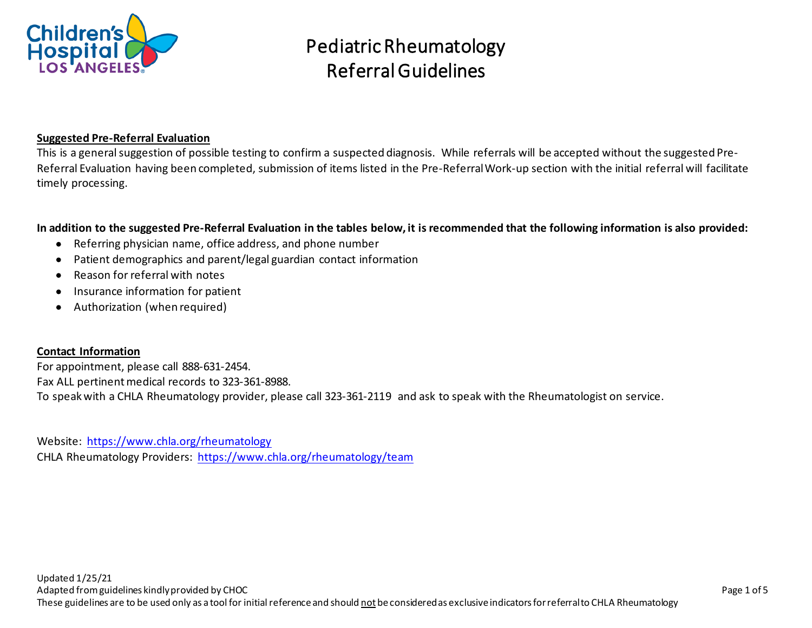

## **Suggested Pre-Referral Evaluation**

This is a general suggestion of possible testing to confirm a suspected diagnosis. While referrals will be accepted without the suggested Pre-Referral Evaluation having been completed, submission of items listed in the Pre-Referral Work-up section with the initial referral will facilitate timely processing.

## **In addition to the suggested Pre-Referral Evaluation in the tables below, it is recommended that the following information is also provided:**

- Referring physician name, office address, and phone number
- Patient demographics and parent/legal guardian contact information
- Reason for referral with notes
- Insurance information for patient
- Authorization (when required)

#### **Contact Information**

For appointment, please call 888-631-2454. Fax ALL pertinent medical records to 323-361-8988. To speak with a CHLA Rheumatology provider, please call 323-361-2119 and ask to speak with the Rheumatologist on service.

Website: <https://www.chla.org/rheumatology> CHLA Rheumatology Providers: <https://www.chla.org/rheumatology/team>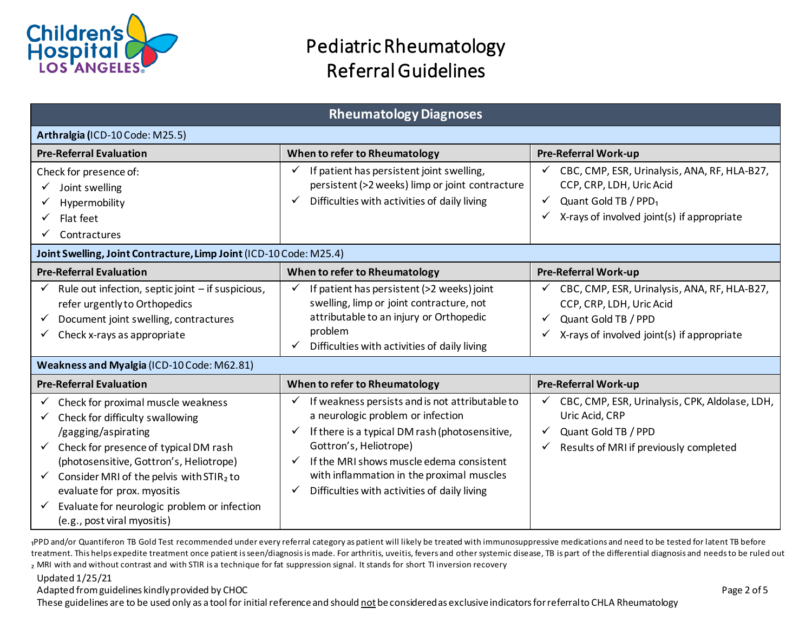

| <b>Rheumatology Diagnoses</b>                                                                                                                                                                                                                                                                                                                                              |                                                                                                                                                                                                                                                                                                                                          |                                                                                                                                                                           |  |  |
|----------------------------------------------------------------------------------------------------------------------------------------------------------------------------------------------------------------------------------------------------------------------------------------------------------------------------------------------------------------------------|------------------------------------------------------------------------------------------------------------------------------------------------------------------------------------------------------------------------------------------------------------------------------------------------------------------------------------------|---------------------------------------------------------------------------------------------------------------------------------------------------------------------------|--|--|
| Arthralgia (ICD-10 Code: M25.5)                                                                                                                                                                                                                                                                                                                                            |                                                                                                                                                                                                                                                                                                                                          |                                                                                                                                                                           |  |  |
| <b>Pre-Referral Evaluation</b>                                                                                                                                                                                                                                                                                                                                             | When to refer to Rheumatology                                                                                                                                                                                                                                                                                                            | <b>Pre-Referral Work-up</b>                                                                                                                                               |  |  |
| Check for presence of:<br>Joint swelling<br>Hypermobility<br>Flat feet<br>Contractures                                                                                                                                                                                                                                                                                     | If patient has persistent joint swelling,<br>✓<br>persistent (>2 weeks) limp or joint contracture<br>Difficulties with activities of daily living<br>✓                                                                                                                                                                                   | CBC, CMP, ESR, Urinalysis, ANA, RF, HLA-B27,<br>✓<br>CCP, CRP, LDH, Uric Acid<br>Quant Gold TB / PPD <sub>1</sub><br>✓<br>X-rays of involved joint(s) if appropriate<br>✓ |  |  |
| Joint Swelling, Joint Contracture, Limp Joint (ICD-10 Code: M25.4)                                                                                                                                                                                                                                                                                                         |                                                                                                                                                                                                                                                                                                                                          |                                                                                                                                                                           |  |  |
| <b>Pre-Referral Evaluation</b>                                                                                                                                                                                                                                                                                                                                             | When to refer to Rheumatology                                                                                                                                                                                                                                                                                                            | <b>Pre-Referral Work-up</b>                                                                                                                                               |  |  |
| Rule out infection, septic joint $-$ if suspicious,<br>refer urgently to Orthopedics<br>Document joint swelling, contractures<br>Check x-rays as appropriate                                                                                                                                                                                                               | If patient has persistent (>2 weeks) joint<br>swelling, limp or joint contracture, not<br>attributable to an injury or Orthopedic<br>problem<br>Difficulties with activities of daily living<br>✓                                                                                                                                        | CBC, CMP, ESR, Urinalysis, ANA, RF, HLA-B27,<br>CCP, CRP, LDH, Uric Acid<br>Quant Gold TB / PPD<br>$\checkmark$<br>X-rays of involved joint(s) if appropriate<br>✓        |  |  |
| Weakness and Myalgia (ICD-10 Code: M62.81)                                                                                                                                                                                                                                                                                                                                 |                                                                                                                                                                                                                                                                                                                                          |                                                                                                                                                                           |  |  |
| <b>Pre-Referral Evaluation</b>                                                                                                                                                                                                                                                                                                                                             | When to refer to Rheumatology                                                                                                                                                                                                                                                                                                            | <b>Pre-Referral Work-up</b>                                                                                                                                               |  |  |
| Check for proximal muscle weakness<br>Check for difficulty swallowing<br>/gagging/aspirating<br>Check for presence of typical DM rash<br>$\checkmark$<br>(photosensitive, Gottron's, Heliotrope)<br>Consider MRI of the pelvis with STIR2 to<br>$\checkmark$<br>evaluate for prox. myositis<br>Evaluate for neurologic problem or infection<br>(e.g., post viral myositis) | If weakness persists and is not attributable to<br>✓<br>a neurologic problem or infection<br>If there is a typical DM rash (photosensitive,<br>✓<br>Gottron's, Heliotrope)<br>If the MRI shows muscle edema consistent<br>$\checkmark$<br>with inflammation in the proximal muscles<br>Difficulties with activities of daily living<br>✓ | CBC, CMP, ESR, Urinalysis, CPK, Aldolase, LDH,<br>Uric Acid, CRP<br>Quant Gold TB / PPD<br>Results of MRI if previously completed<br>✓                                    |  |  |

1PPD and/or Quantiferon TB Gold Test recommended under every referral category as patient will likely be treated with immunosuppressive medications and need to be tested for latent TB before treatment. This helps expedite treatment once patient is seen/diagnosis is made. For arthritis, uveitis, fevers and other systemic disease, TB is part of the differential diagnosis and needs to be ruled out 2 MRI with and without contrast and with STIR is a technique for fat suppression signal. It stands for short TI inversion recovery

Updated 1/25/21

Adapted from guidelines kindly provided by CHOC **Page 2 of 5** and the state of the state of the state of the page 2 of 5

These guidelines are to be used only as a tool for initial reference and should not be considered as exclusive indicators for referral to CHLA Rheumatology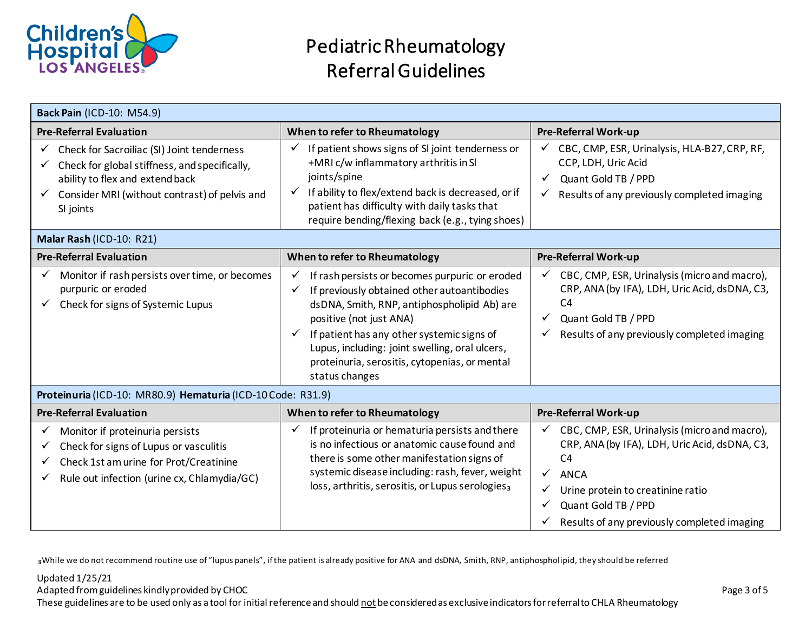

| <b>Back Pain (ICD-10: M54.9)</b>                                                                                                                                                             |                                                                                                                                                                                                                                                                                                                                                                      |                                                                                                                                                                                                                                                                |  |  |
|----------------------------------------------------------------------------------------------------------------------------------------------------------------------------------------------|----------------------------------------------------------------------------------------------------------------------------------------------------------------------------------------------------------------------------------------------------------------------------------------------------------------------------------------------------------------------|----------------------------------------------------------------------------------------------------------------------------------------------------------------------------------------------------------------------------------------------------------------|--|--|
| <b>Pre-Referral Evaluation</b>                                                                                                                                                               | When to refer to Rheumatology                                                                                                                                                                                                                                                                                                                                        | <b>Pre-Referral Work-up</b>                                                                                                                                                                                                                                    |  |  |
| Check for Sacroiliac (SI) Joint tenderness<br>Check for global stiffness, and specifically,<br>ability to flex and extend back<br>Consider MRI (without contrast) of pelvis and<br>SI joints | If patient shows signs of SI joint tenderness or<br>$\checkmark$<br>+MRI c/w inflammatory arthritis in SI<br>joints/spine<br>If ability to flex/extend back is decreased, or if<br>$\checkmark$<br>patient has difficulty with daily tasks that<br>require bending/flexing back (e.g., tying shoes)                                                                  | CBC, CMP, ESR, Urinalysis, HLA-B27, CRP, RF,<br>CCP, LDH, Uric Acid<br>Quant Gold TB / PPD<br>Results of any previously completed imaging                                                                                                                      |  |  |
| Malar Rash (ICD-10: R21)                                                                                                                                                                     |                                                                                                                                                                                                                                                                                                                                                                      |                                                                                                                                                                                                                                                                |  |  |
| <b>Pre-Referral Evaluation</b>                                                                                                                                                               | When to refer to Rheumatology                                                                                                                                                                                                                                                                                                                                        | <b>Pre-Referral Work-up</b>                                                                                                                                                                                                                                    |  |  |
| Monitor if rash persists over time, or becomes<br>purpuric or eroded<br>Check for signs of Systemic Lupus                                                                                    | If rash persists or becomes purpuric or eroded<br>✓<br>If previously obtained other autoantibodies<br>✓<br>dsDNA, Smith, RNP, antiphospholipid Ab) are<br>positive (not just ANA)<br>If patient has any other systemic signs of<br>$\checkmark$<br>Lupus, including: joint swelling, oral ulcers,<br>proteinuria, serositis, cytopenias, or mental<br>status changes | CBC, CMP, ESR, Urinalysis (micro and macro),<br>CRP, ANA (by IFA), LDH, Uric Acid, dsDNA, C3,<br>C <sub>4</sub><br>Quant Gold TB / PPD<br>Results of any previously completed imaging                                                                          |  |  |
| Proteinuria (ICD-10: MR80.9) Hematuria (ICD-10 Code: R31.9)                                                                                                                                  |                                                                                                                                                                                                                                                                                                                                                                      |                                                                                                                                                                                                                                                                |  |  |
| <b>Pre-Referral Evaluation</b>                                                                                                                                                               | When to refer to Rheumatology                                                                                                                                                                                                                                                                                                                                        | <b>Pre-Referral Work-up</b>                                                                                                                                                                                                                                    |  |  |
| Monitor if proteinuria persists<br>Check for signs of Lupus or vasculitis<br>Check 1st am urine for Prot/Creatinine<br>Rule out infection (urine cx, Chlamydia/GC)                           | If proteinuria or hematuria persists and there<br>✓<br>is no infectious or anatomic cause found and<br>there is some other manifestation signs of<br>systemic disease including: rash, fever, weight<br>loss, arthritis, serositis, or Lupus serologies3                                                                                                             | CBC, CMP, ESR, Urinalysis (micro and macro),<br>CRP, ANA (by IFA), LDH, Uric Acid, dsDNA, C3,<br>C <sub>4</sub><br>$\checkmark$<br><b>ANCA</b><br>Urine protein to creatinine ratio<br>Quant Gold TB / PPD<br>✓<br>Results of any previously completed imaging |  |  |

₃While we do not recommend routine use of "lupus panels", if the patient is already positive for ANA and dsDNA, Smith, RNP, antiphospholipid, they should be referred

## Updated 1/25/21

Adapted from guidelines kindly provided by CHOC **Page 3 of 5** 

These guidelines are to be used only as a tool for initial reference and should not be considered as exclusive indicators for referral to CHLA Rheumatology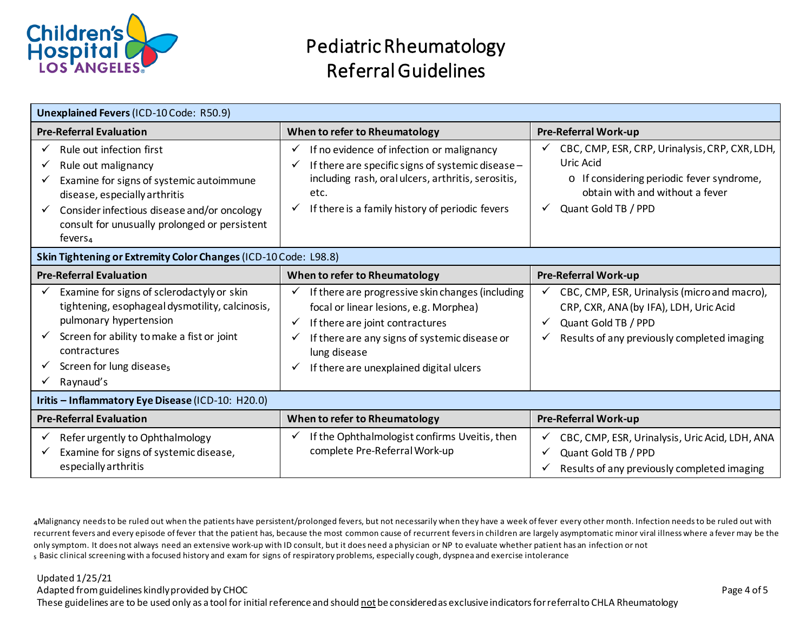

| <b>Unexplained Fevers (ICD-10 Code: R50.9)</b>                                                                                                                                                                                                                          |                                                                                                                                                                                                                                                                                     |                                                                                                                                                                    |  |
|-------------------------------------------------------------------------------------------------------------------------------------------------------------------------------------------------------------------------------------------------------------------------|-------------------------------------------------------------------------------------------------------------------------------------------------------------------------------------------------------------------------------------------------------------------------------------|--------------------------------------------------------------------------------------------------------------------------------------------------------------------|--|
| <b>Pre-Referral Evaluation</b>                                                                                                                                                                                                                                          | When to refer to Rheumatology                                                                                                                                                                                                                                                       | <b>Pre-Referral Work-up</b>                                                                                                                                        |  |
| Rule out infection first<br>✓<br>Rule out malignancy<br>✓<br>Examine for signs of systemic autoimmune<br>✓<br>disease, especially arthritis<br>Consider infectious disease and/or oncology<br>✓<br>consult for unusually prolonged or persistent<br>fevers <sub>4</sub> | If no evidence of infection or malignancy<br>v<br>If there are specific signs of systemic disease -<br>including rash, oral ulcers, arthritis, serositis,<br>etc.<br>$\checkmark$ If there is a family history of periodic fevers                                                   | CBC, CMP, ESR, CRP, Urinalysis, CRP, CXR, LDH,<br>Uric Acid<br>o If considering periodic fever syndrome,<br>obtain with and without a fever<br>Quant Gold TB / PPD |  |
| Skin Tightening or Extremity Color Changes (ICD-10 Code: L98.8)                                                                                                                                                                                                         |                                                                                                                                                                                                                                                                                     |                                                                                                                                                                    |  |
| <b>Pre-Referral Evaluation</b>                                                                                                                                                                                                                                          | When to refer to Rheumatology                                                                                                                                                                                                                                                       | <b>Pre-Referral Work-up</b>                                                                                                                                        |  |
| Examine for signs of sclerodactyly or skin<br>tightening, esophageal dysmotility, calcinosis,<br>pulmonary hypertension<br>Screen for ability to make a fist or joint<br>✓<br>contractures<br>Screen for lung disease <sub>s</sub><br>v<br>Raynaud's<br>✓               | If there are progressive skin changes (including<br>✓<br>focal or linear lesions, e.g. Morphea)<br>If there are joint contractures<br>$\checkmark$<br>If there are any signs of systemic disease or<br>✓<br>lung disease<br>If there are unexplained digital ulcers<br>$\checkmark$ | CBC, CMP, ESR, Urinalysis (micro and macro),<br>CRP, CXR, ANA (by IFA), LDH, Uric Acid<br>Quant Gold TB / PPD<br>Results of any previously completed imaging       |  |
| Iritis - Inflammatory Eye Disease (ICD-10: H20.0)                                                                                                                                                                                                                       |                                                                                                                                                                                                                                                                                     |                                                                                                                                                                    |  |
| <b>Pre-Referral Evaluation</b>                                                                                                                                                                                                                                          | When to refer to Rheumatology                                                                                                                                                                                                                                                       | <b>Pre-Referral Work-up</b>                                                                                                                                        |  |
| Refer urgently to Ophthalmology<br>✓<br>Examine for signs of systemic disease,<br>✓<br>especially arthritis                                                                                                                                                             | If the Ophthalmologist confirms Uveitis, then<br>complete Pre-Referral Work-up                                                                                                                                                                                                      | CBC, CMP, ESR, Urinalysis, Uric Acid, LDH, ANA<br>Quant Gold TB / PPD<br>Results of any previously completed imaging                                               |  |

₄Malignancy needs to be ruled out when the patients have persistent/prolonged fevers, but not necessarily when they have a week of fever every other month. Infection needs to be ruled out with recurrent fevers and every episode of fever that the patient has, because the most common cause of recurrent fevers in children are largely asymptomatic minor viral illness where a fever may be the only symptom. It does not always need an extensive work-up with ID consult, but it does need a physician or NP to evaluate whether patient has an infection or not ₅ Basic clinical screening with a focused history and exam for signs of respiratory problems, especially cough, dyspnea and exercise intolerance

Updated 1/25/21

Adapted from guidelines kindly provided by CHOC **Page 4 of 5** 

These guidelines are to be used only as a tool for initial reference and should not be considered as exclusive indicators for referral to CHLA Rheumatology